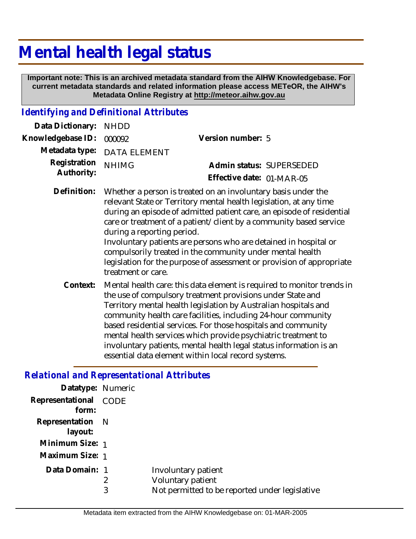# **Mental health legal status**

 **Important note: This is an archived metadata standard from the AIHW Knowledgebase. For current metadata standards and related information please access METeOR, the AIHW's Metadata Online Registry at http://meteor.aihw.gov.au**

# *Identifying and Definitional Attributes*

| Data Dictionary:  | <b>NHDD</b>                |                                                                                                                                                                                                                                                                                                                                                                                                                                                                                              |  |
|-------------------|----------------------------|----------------------------------------------------------------------------------------------------------------------------------------------------------------------------------------------------------------------------------------------------------------------------------------------------------------------------------------------------------------------------------------------------------------------------------------------------------------------------------------------|--|
| Knowledgebase ID: | 000092                     | Version number: 5                                                                                                                                                                                                                                                                                                                                                                                                                                                                            |  |
| Metadata type:    | <b>DATA ELEMENT</b>        |                                                                                                                                                                                                                                                                                                                                                                                                                                                                                              |  |
| Registration      | <b>NHIMG</b>               | Admin status: SUPERSEDED                                                                                                                                                                                                                                                                                                                                                                                                                                                                     |  |
| Authority:        |                            | Effective date: 01-MAR-05                                                                                                                                                                                                                                                                                                                                                                                                                                                                    |  |
| Definition:       | during a reporting period. | Whether a person is treated on an involuntary basis under the<br>relevant State or Territory mental health legislation, at any time<br>during an episode of admitted patient care, an episode of residential<br>care or treatment of a patient/client by a community based service<br>Involuntary patients are persons who are detained in hospital or<br>compulsorily treated in the community under mental health<br>legislation for the purpose of assessment or provision of appropriate |  |

Mental health care: this data element is required to monitor trends in the use of compulsory treatment provisions under State and Territory mental health legislation by Australian hospitals and community health care facilities, including 24-hour community based residential services. For those hospitals and community mental health services which provide psychiatric treatment to involuntary patients, mental health legal status information is an essential data element within local record systems. **Context:**

## *Relational and Representational Attributes*

treatment or care.

| Datatype: Numeric              |        |                                                                                            |
|--------------------------------|--------|--------------------------------------------------------------------------------------------|
| Representational CODE<br>form: |        |                                                                                            |
| Representation N<br>layout:    |        |                                                                                            |
| Minimum Size: 1                |        |                                                                                            |
| Maximum Size: 1                |        |                                                                                            |
| Data Domain: 1                 | 2<br>3 | Involuntary patient<br>Voluntary patient<br>Not permitted to be reported under legislative |
|                                |        |                                                                                            |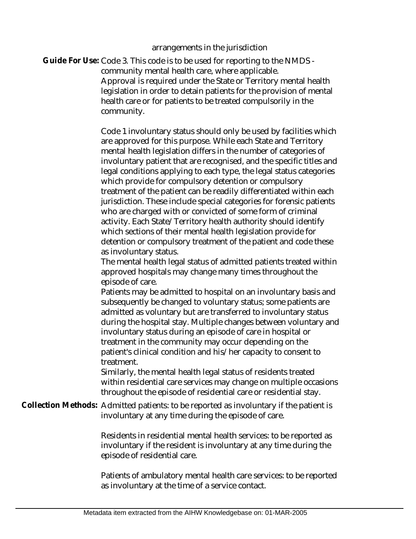#### arrangements in the jurisdiction

Guide For Use: Code 3. This code is to be used for reporting to the NMDS community mental health care, where applicable. Approval is required under the State or Territory mental health legislation in order to detain patients for the provision of mental health care or for patients to be treated compulsorily in the community.

> Code 1 involuntary status should only be used by facilities which are approved for this purpose. While each State and Territory mental health legislation differs in the number of categories of involuntary patient that are recognised, and the specific titles and legal conditions applying to each type, the legal status categories which provide for compulsory detention or compulsory treatment of the patient can be readily differentiated within each jurisdiction. These include special categories for forensic patients who are charged with or convicted of some form of criminal activity. Each State/Territory health authority should identify which sections of their mental health legislation provide for detention or compulsory treatment of the patient and code these as involuntary status.

> The mental health legal status of admitted patients treated within approved hospitals may change many times throughout the episode of care.

> Patients may be admitted to hospital on an involuntary basis and subsequently be changed to voluntary status; some patients are admitted as voluntary but are transferred to involuntary status during the hospital stay. Multiple changes between voluntary and involuntary status during an episode of care in hospital or treatment in the community may occur depending on the patient's clinical condition and his/her capacity to consent to treatment.

> Similarly, the mental health legal status of residents treated within residential care services may change on multiple occasions throughout the episode of residential care or residential stay.

Collection Methods: Admitted patients: to be reported as involuntary if the patient is involuntary at any time during the episode of care.

> Residents in residential mental health services: to be reported as involuntary if the resident is involuntary at any time during the episode of residential care.

Patients of ambulatory mental health care services: to be reported as involuntary at the time of a service contact.